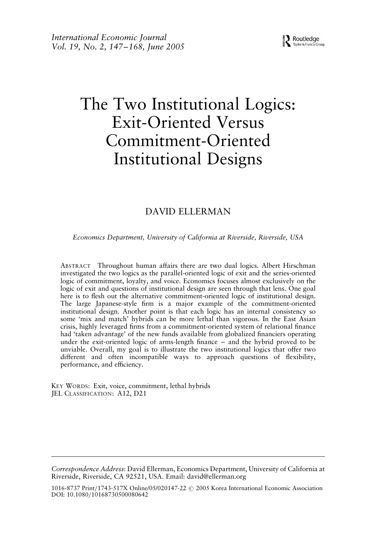# The Two Institutional Logics: Exit-Oriented Versus Commitment-Oriented Institutional Designs

# DAVID ELLERMAN

Economics Department, University of California at Riverside, Riverside, USA

ABSTRACT Throughout human affairs there are two dual logics. Albert Hirschman investigated the two logics as the parallel-oriented logic of exit and the series-oriented logic of commitment, loyalty, and voice. Economics focuses almost exclusively on the logic of exit and questions of institutional design are seen through that lens. One goal here is to flesh out the alternative commitment-oriented logic of institutional design. The large Japanese-style firm is a major example of the commitment-oriented institutional design. Another point is that each logic has an internal consistency so some 'mix and match' hybrids can be more lethal than vigorous. In the East Asian crisis, highly leveraged firms from a commitment-oriented system of relational finance had 'taken advantage' of the new funds available from globalized financiers operating under the exit-oriented logic of arms-length finance – and the hybrid proved to be unviable. Overall, my goal is to illustrate the two institutional logics that offer two different and often incompatible ways to approach questions of flexibility, performance, and efficiency.

KEY WORDS: Exit, voice, commitment, lethal hybrids JEL CLASSIFICATION: A12, D21

Correspondence Address: David Ellerman, Economics Department, University of California at Riverside, Riverside, CA 92521, USA. Email: david@ellerman.org

1016-8737 Print/1743-517X Online/05/020147-22  $\odot$  2005 Korea International Economic Association DOI: 10.1080/10168730500080642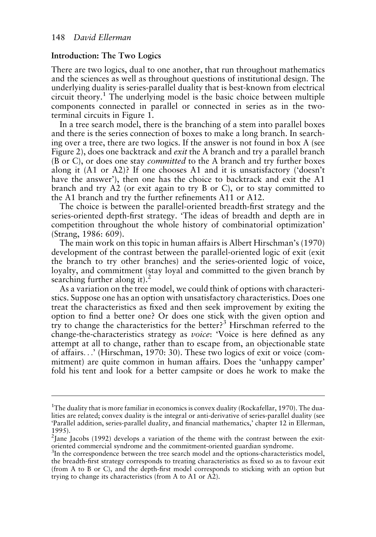#### Introduction: The Two Logics

There are two logics, dual to one another, that run throughout mathematics and the sciences as well as throughout questions of institutional design. The underlying duality is series-parallel duality that is best-known from electrical circuit theory.<sup>1</sup> The underlying model is the basic choice between multiple components connected in parallel or connected in series as in the twoterminal circuits in Figure 1.

In a tree search model, there is the branching of a stem into parallel boxes and there is the series connection of boxes to make a long branch. In searching over a tree, there are two logics. If the answer is not found in box A (see Figure 2), does one backtrack and *exit* the A branch and try a parallel branch (B or C), or does one stay committed to the A branch and try further boxes along it (A1 or A2)? If one chooses A1 and it is unsatisfactory ('doesn't have the answer'), then one has the choice to backtrack and exit the A1 branch and try A2 (or exit again to try B or C), or to stay committed to the A1 branch and try the further refinements A11 or A12.

The choice is between the parallel-oriented breadth-first strategy and the series-oriented depth-first strategy. 'The ideas of breadth and depth are in competition throughout the whole history of combinatorial optimization' (Strang, 1986: 609).

The main work on this topic in human affairs is Albert Hirschman's (1970) development of the contrast between the parallel-oriented logic of exit (exit the branch to try other branches) and the series-oriented logic of voice, loyalty, and commitment (stay loyal and committed to the given branch by searching further along it).<sup>2</sup>

As a variation on the tree model, we could think of options with characteristics. Suppose one has an option with unsatisfactory characteristics. Does one treat the characteristics as fixed and then seek improvement by exiting the option to find a better one? Or does one stick with the given option and try to change the characteristics for the better?<sup>3</sup> Hirschman referred to the change-the-characteristics strategy as voice: 'Voice is here defined as any attempt at all to change, rather than to escape from, an objectionable state of affairs...' (Hirschman, 1970: 30). These two logics of exit or voice (commitment) are quite common in human affairs. Does the 'unhappy camper' fold his tent and look for a better campsite or does he work to make the

<sup>&</sup>lt;sup>1</sup>The duality that is more familiar in economics is convex duality (Rockafellar, 1970). The dualities are related; convex duality is the integral or anti-derivative of series-parallel duality (see 'Parallel addition, series-parallel duality, and financial mathematics,' chapter 12 in Ellerman, 1995).

 $2$ Jane Jacobs (1992) develops a variation of the theme with the contrast between the exitoriented commercial syndrome and the commitment-oriented guardian syndrome.

<sup>&</sup>lt;sup>3</sup>In the correspondence between the tree search model and the options-characteristics model, the breadth-first strategy corresponds to treating characteristics as fixed so as to favour exit (from A to B or C), and the depth-first model corresponds to sticking with an option but trying to change its characteristics (from A to A1 or A2).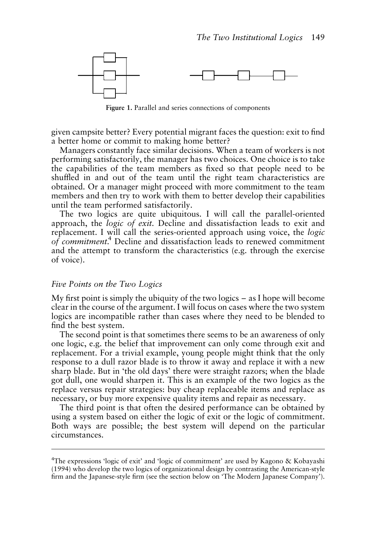

Figure 1. Parallel and series connections of components

given campsite better? Every potential migrant faces the question: exit to find a better home or commit to making home better?

Managers constantly face similar decisions. When a team of workers is not performing satisfactorily, the manager has two choices. One choice is to take the capabilities of the team members as fixed so that people need to be shuffled in and out of the team until the right team characteristics are obtained. Or a manager might proceed with more commitment to the team members and then try to work with them to better develop their capabilities until the team performed satisfactorily.

The two logics are quite ubiquitous. I will call the parallel-oriented approach, the *logic of exit*. Decline and dissatisfaction leads to exit and replacement. I will call the series-oriented approach using voice, the logic  $of$  commitment.<sup>4</sup> Decline and dissatisfaction leads to renewed commitment and the attempt to transform the characteristics (e.g. through the exercise of voice).

#### Five Points on the Two Logics

My first point is simply the ubiquity of the two logics – as I hope will become clear in the course of the argument. I will focus on cases where the two system logics are incompatible rather than cases where they need to be blended to find the best system.

The second point is that sometimes there seems to be an awareness of only one logic, e.g. the belief that improvement can only come through exit and replacement. For a trivial example, young people might think that the only response to a dull razor blade is to throw it away and replace it with a new sharp blade. But in 'the old days' there were straight razors; when the blade got dull, one would sharpen it. This is an example of the two logics as the replace versus repair strategies: buy cheap replaceable items and replace as necessary, or buy more expensive quality items and repair as necessary.

The third point is that often the desired performance can be obtained by using a system based on either the logic of exit or the logic of commitment. Both ways are possible; the best system will depend on the particular circumstances.

<sup>&</sup>lt;sup>4</sup>The expressions 'logic of exit' and 'logic of commitment' are used by Kagono & Kobayashi (1994) who develop the two logics of organizational design by contrasting the American-style firm and the Japanese-style firm (see the section below on 'The Modern Japanese Company').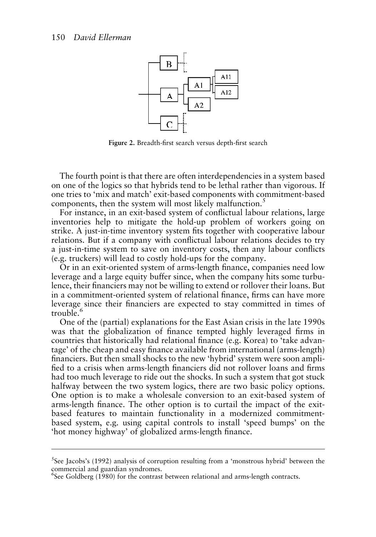

Figure 2. Breadth-first search versus depth-first search

The fourth point is that there are often interdependencies in a system based on one of the logics so that hybrids tend to be lethal rather than vigorous. If one tries to 'mix and match' exit-based components with commitment-based components, then the system will most likely malfunction.<sup>5</sup>

For instance, in an exit-based system of conflictual labour relations, large inventories help to mitigate the hold-up problem of workers going on strike. A just-in-time inventory system fits together with cooperative labour relations. But if a company with conflictual labour relations decides to try a just-in-time system to save on inventory costs, then any labour conflicts (e.g. truckers) will lead to costly hold-ups for the company.

Or in an exit-oriented system of arms-length finance, companies need low leverage and a large equity buffer since, when the company hits some turbulence, their financiers may not be willing to extend or rollover their loans. But in a commitment-oriented system of relational finance, firms can have more leverage since their financiers are expected to stay committed in times of trouble.<sup>6</sup>

One of the (partial) explanations for the East Asian crisis in the late 1990s was that the globalization of finance tempted highly leveraged firms in countries that historically had relational finance (e.g. Korea) to 'take advantage' of the cheap and easy finance available from international (arms-length) financiers. But then small shocks to the new 'hybrid' system were soon amplified to a crisis when arms-length financiers did not rollover loans and firms had too much leverage to ride out the shocks. In such a system that got stuck halfway between the two system logics, there are two basic policy options. One option is to make a wholesale conversion to an exit-based system of arms-length finance. The other option is to curtail the impact of the exitbased features to maintain functionality in a modernized commitmentbased system, e.g. using capital controls to install 'speed bumps' on the 'hot money highway' of globalized arms-length finance.

 ${}^{5}$ See Jacobs's (1992) analysis of corruption resulting from a 'monstrous hybrid' between the commercial and guardian syndromes.

<sup>&</sup>lt;sup>6</sup>See Goldberg (1980) for the contrast between relational and arms-length contracts.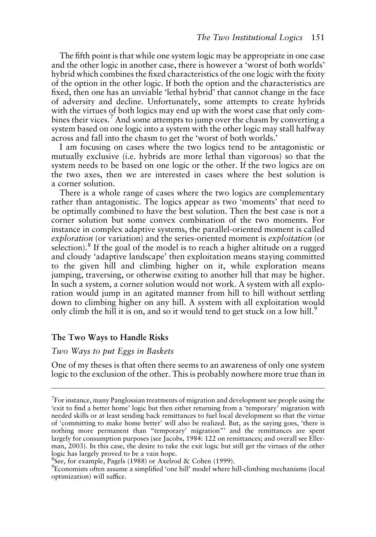The fifth point is that while one system logic may be appropriate in one case and the other logic in another case, there is however a 'worst of both worlds' hybrid which combines the fixed characteristics of the one logic with the fixity of the option in the other logic. If both the option and the characteristics are fixed, then one has an unviable 'lethal hybrid' that cannot change in the face of adversity and decline. Unfortunately, some attempts to create hybrids with the virtues of both logics may end up with the worst case that only combines their vices.<sup>7</sup> And some attempts to jump over the chasm by converting a system based on one logic into a system with the other logic may stall halfway across and fall into the chasm to get the 'worst of both worlds.'

I am focusing on cases where the two logics tend to be antagonistic or mutually exclusive (i.e. hybrids are more lethal than vigorous) so that the system needs to be based on one logic or the other. If the two logics are on the two axes, then we are interested in cases where the best solution is a corner solution.

There is a whole range of cases where the two logics are complementary rather than antagonistic. The logics appear as two 'moments' that need to be optimally combined to have the best solution. Then the best case is not a corner solution but some convex combination of the two moments. For instance in complex adaptive systems, the parallel-oriented moment is called exploration (or variation) and the series-oriented moment is *exploitation* (or selection).<sup>8</sup> If the goal of the model is to reach a higher altitude on a rugged and cloudy 'adaptive landscape' then exploitation means staying committed to the given hill and climbing higher on it, while exploration means jumping, traversing, or otherwise exiting to another hill that may be higher. In such a system, a corner solution would not work. A system with all exploration would jump in an agitated manner from hill to hill without settling down to climbing higher on any hill. A system with all exploitation would only climb the hill it is on, and so it would tend to get stuck on a low hill.<sup>9</sup>

#### The Two Ways to Handle Risks

#### Two Ways to put Eggs in Baskets

One of my theses is that often there seems to an awareness of only one system logic to the exclusion of the other. This is probably nowhere more true than in

<sup>&</sup>lt;sup>7</sup>For instance, many Panglossian treatments of migration and development see people using the 'exit to find a better home' logic but then either returning from a 'temporary' migration with needed skills or at least sending back remittances to fuel local development so that the virtue of 'committing to make home better' will also be realized. But, as the saying goes, 'there is nothing more permanent than "temporary' migration"' and the remittances are spent largely for consumption purposes (see Jacobs, 1984: 122 on remittances; and overall see Ellerman, 2003). In this case, the desire to take the exit logic but still get the virtues of the other logic has largely proved to be a vain hope.

<sup>&</sup>lt;sup>8</sup>See, for example, Pagels (1988) or Axelrod & Cohen (1999).

<sup>9</sup> Economists often assume a simplified 'one hill' model where hill-climbing mechanisms (local optimization) will suffice.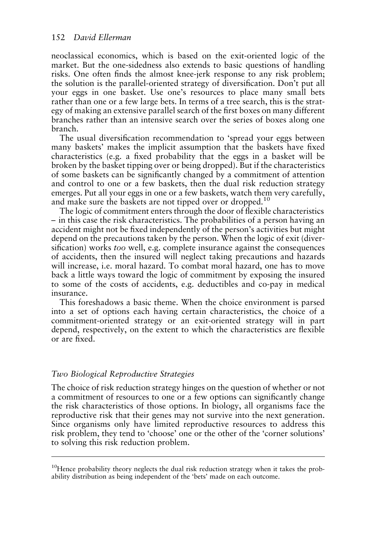neoclassical economics, which is based on the exit-oriented logic of the market. But the one-sidedness also extends to basic questions of handling risks. One often finds the almost knee-jerk response to any risk problem; the solution is the parallel-oriented strategy of diversification. Don't put all your eggs in one basket. Use one's resources to place many small bets rather than one or a few large bets. In terms of a tree search, this is the strategy of making an extensive parallel search of the first boxes on many different branches rather than an intensive search over the series of boxes along one branch.

The usual diversification recommendation to 'spread your eggs between many baskets' makes the implicit assumption that the baskets have fixed characteristics (e.g. a fixed probability that the eggs in a basket will be broken by the basket tipping over or being dropped). But if the characteristics of some baskets can be significantly changed by a commitment of attention and control to one or a few baskets, then the dual risk reduction strategy emerges. Put all your eggs in one or a few baskets, watch them very carefully, and make sure the baskets are not tipped over or dropped.<sup>10</sup>

The logic of commitment enters through the door of flexible characteristics – in this case the risk characteristics. The probabilities of a person having an accident might not be fixed independently of the person's activities but might depend on the precautions taken by the person. When the logic of exit (diversification) works too well, e.g. complete insurance against the consequences of accidents, then the insured will neglect taking precautions and hazards will increase, i.e. moral hazard. To combat moral hazard, one has to move back a little ways toward the logic of commitment by exposing the insured to some of the costs of accidents, e.g. deductibles and co-pay in medical insurance.

This foreshadows a basic theme. When the choice environment is parsed into a set of options each having certain characteristics, the choice of a commitment-oriented strategy or an exit-oriented strategy will in part depend, respectively, on the extent to which the characteristics are flexible or are fixed.

# Two Biological Reproductive Strategies

The choice of risk reduction strategy hinges on the question of whether or not a commitment of resources to one or a few options can significantly change the risk characteristics of those options. In biology, all organisms face the reproductive risk that their genes may not survive into the next generation. Since organisms only have limited reproductive resources to address this risk problem, they tend to 'choose' one or the other of the 'corner solutions' to solving this risk reduction problem.

 $10$ Hence probability theory neglects the dual risk reduction strategy when it takes the probability distribution as being independent of the 'bets' made on each outcome.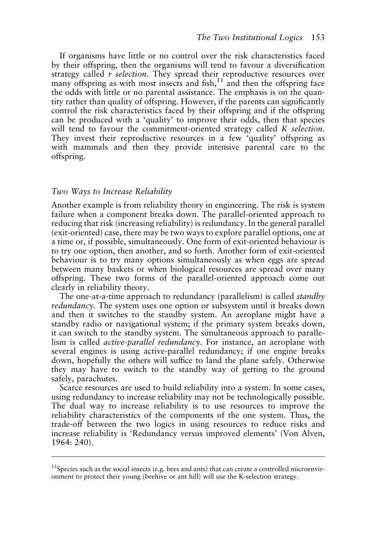If organisms have little or no control over the risk characteristics faced by their offspring, then the organisms will tend to favour a diversification strategy called r selection. They spread their reproductive resources over many offspring as with most insects and fish, $11$  and then the offspring face the odds with little or no parental assistance. The emphasis is on the quantity rather than quality of offspring. However, if the parents can significantly control the risk characteristics faced by their offspring and if the offspring can be produced with a 'quality' to improve their odds, then that species will tend to favour the commitment-oriented strategy called K selection. They invest their reproductive resources in a few 'quality' offspring as with mammals and then they provide intensive parental care to the offspring.

#### Two Ways to Increase Reliability

Another example is from reliability theory in engineering. The risk is system failure when a component breaks down. The parallel-oriented approach to reducing that risk (increasing reliability) is redundancy. In the general parallel (exit-oriented) case, there may be two ways to explore parallel options, one at a time or, if possible, simultaneously. One form of exit-oriented behaviour is to try one option, then another, and so forth. Another form of exit-oriented behaviour is to try many options simultaneously as when eggs are spread between many baskets or when biological resources are spread over many offspring. These two forms of the parallel-oriented approach come out clearly in reliability theory.

The one-at-a-time approach to redundancy (parallelism) is called *standby* redundancy. The system uses one option or subsystem until it breaks down and then it switches to the standby system. An aeroplane might have a standby radio or navigational system; if the primary system breaks down, it can switch to the standby system. The simultaneous approach to parallelism is called *active-parallel redundancy*. For instance, an aeroplane with several engines is using active-parallel redundancy; if one engine breaks down, hopefully the others will suffice to land the plane safely. Otherwise they may have to switch to the standby way of getting to the ground safely, parachutes.

Scarce resources are used to build reliability into a system. In some cases, using redundancy to increase reliability may not be technologically possible. The dual way to increase reliability is to use resources to improve the reliability characteristics of the components of the one system. Thus, the trade-off between the two logics in using resources to reduce risks and increase reliability is 'Redundancy versus improved elements' (Von Alven, 1964: 240).

 $11$ Species such as the social insects (e.g. bees and ants) that can create a controlled microenvironment to protect their young (beehive or ant hill) will use the K-selection strategy.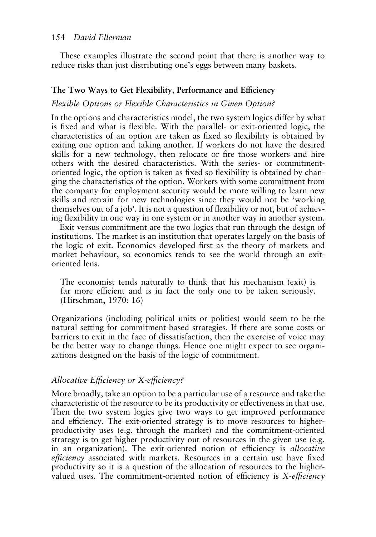These examples illustrate the second point that there is another way to reduce risks than just distributing one's eggs between many baskets.

#### The Two Ways to Get Flexibility, Performance and Efficiency

### Flexible Options or Flexible Characteristics in Given Option?

In the options and characteristics model, the two system logics differ by what is fixed and what is flexible. With the parallel- or exit-oriented logic, the characteristics of an option are taken as fixed so flexibility is obtained by exiting one option and taking another. If workers do not have the desired skills for a new technology, then relocate or fire those workers and hire others with the desired characteristics. With the series- or commitmentoriented logic, the option is taken as fixed so flexibility is obtained by changing the characteristics of the option. Workers with some commitment from the company for employment security would be more willing to learn new skills and retrain for new technologies since they would not be 'working themselves out of a job'. It is not a question of flexibility or not, but of achieving flexibility in one way in one system or in another way in another system.

Exit versus commitment are the two logics that run through the design of institutions. The market is an institution that operates largely on the basis of the logic of exit. Economics developed first as the theory of markets and market behaviour, so economics tends to see the world through an exitoriented lens.

The economist tends naturally to think that his mechanism (exit) is far more efficient and is in fact the only one to be taken seriously. (Hirschman, 1970: 16)

Organizations (including political units or polities) would seem to be the natural setting for commitment-based strategies. If there are some costs or barriers to exit in the face of dissatisfaction, then the exercise of voice may be the better way to change things. Hence one might expect to see organizations designed on the basis of the logic of commitment.

# Allocative Efficiency or X-efficiency?

More broadly, take an option to be a particular use of a resource and take the characteristic of the resource to be its productivity or effectiveness in that use. Then the two system logics give two ways to get improved performance and efficiency. The exit-oriented strategy is to move resources to higherproductivity uses (e.g. through the market) and the commitment-oriented strategy is to get higher productivity out of resources in the given use (e.g. in an organization). The exit-oriented notion of efficiency is allocative efficiency associated with markets. Resources in a certain use have fixed productivity so it is a question of the allocation of resources to the highervalued uses. The commitment-oriented notion of efficiency is X-efficiency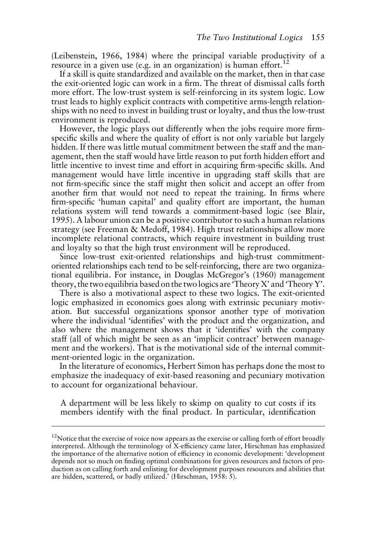(Leibenstein, 1966, 1984) where the principal variable productivity of a resource in a given use (e.g. in an organization) is human effort.<sup>12</sup>

If a skill is quite standardized and available on the market, then in that case the exit-oriented logic can work in a firm. The threat of dismissal calls forth more effort. The low-trust system is self-reinforcing in its system logic. Low trust leads to highly explicit contracts with competitive arms-length relationships with no need to invest in building trust or loyalty, and thus the low-trust environment is reproduced.

However, the logic plays out differently when the jobs require more firmspecific skills and where the quality of effort is not only variable but largely hidden. If there was little mutual commitment between the staff and the management, then the staff would have little reason to put forth hidden effort and little incentive to invest time and effort in acquiring firm-specific skills. And management would have little incentive in upgrading staff skills that are not firm-specific since the staff might then solicit and accept an offer from another firm that would not need to repeat the training. In firms where firm-specific 'human capital' and quality effort are important, the human relations system will tend towards a commitment-based logic (see Blair, 1995). A labour union can be a positive contributor to such a human relations strategy (see Freeman & Medoff, 1984). High trust relationships allow more incomplete relational contracts, which require investment in building trust and loyalty so that the high trust environment will be reproduced.

Since low-trust exit-oriented relationships and high-trust commitmentoriented relationships each tend to be self-reinforcing, there are two organizational equilibria. For instance, in Douglas McGregor's (1960) management theory, the two equilibria based on the two logics are 'Theory X' and 'Theory Y'.

There is also a motivational aspect to these two logics. The exit-oriented logic emphasized in economics goes along with extrinsic pecuniary motivation. But successful organizations sponsor another type of motivation where the individual 'identifies' with the product and the organization, and also where the management shows that it 'identifies' with the company staff (all of which might be seen as an 'implicit contract' between management and the workers). That is the motivational side of the internal commitment-oriented logic in the organization.

In the literature of economics, Herbert Simon has perhaps done the most to emphasize the inadequacy of exit-based reasoning and pecuniary motivation to account for organizational behaviour.

A department will be less likely to skimp on quality to cut costs if its members identify with the final product. In particular, identification

<sup>&</sup>lt;sup>12</sup>Notice that the exercise of voice now appears as the exercise or calling forth of effort broadly interpreted. Although the terminology of X-efficiency came later, Hirschman has emphasized the importance of the alternative notion of efficiency in economic development: 'development depends not so much on finding optimal combinations for given resources and factors of production as on calling forth and enlisting for development purposes resources and abilities that are hidden, scattered, or badly utilized.' (Hirschman, 1958: 5).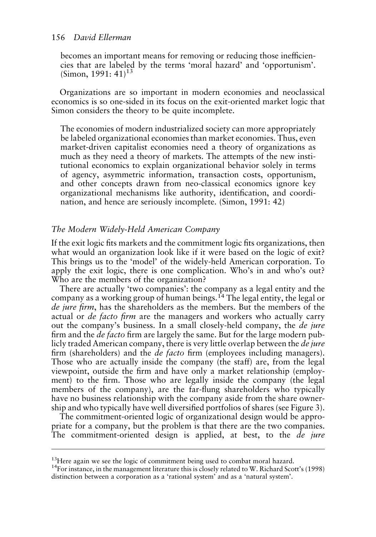becomes an important means for removing or reducing those inefficiencies that are labeled by the terms 'moral hazard' and 'opportunism'. (Simon, 1991:  $41$ )<sup>13</sup>

Organizations are so important in modern economies and neoclassical economics is so one-sided in its focus on the exit-oriented market logic that Simon considers the theory to be quite incomplete.

The economies of modern industrialized society can more appropriately be labeled organizational economies than market economies. Thus, even market-driven capitalist economies need a theory of organizations as much as they need a theory of markets. The attempts of the new institutional economics to explain organizational behavior solely in terms of agency, asymmetric information, transaction costs, opportunism, and other concepts drawn from neo-classical economics ignore key organizational mechanisms like authority, identification, and coordination, and hence are seriously incomplete. (Simon, 1991: 42)

## The Modern Widely-Held American Company

If the exit logic fits markets and the commitment logic fits organizations, then what would an organization look like if it were based on the logic of exit? This brings us to the 'model' of the widely-held American corporation. To apply the exit logic, there is one complication. Who's in and who's out? Who are the members of the organization?

There are actually 'two companies': the company as a legal entity and the company as a working group of human beings.<sup>14</sup> The legal entity, the legal or de jure firm, has the shareholders as the members. But the members of the actual or *de facto firm* are the managers and workers who actually carry out the company's business. In a small closely-held company, the de jure firm and the *de facto* firm are largely the same. But for the large modern publicly traded American company, there is very little overlap between the *de jure* firm (shareholders) and the *de facto* firm (employees including managers). Those who are actually inside the company (the staff) are, from the legal viewpoint, outside the firm and have only a market relationship (employment) to the firm. Those who are legally inside the company (the legal members of the company), are the far-flung shareholders who typically have no business relationship with the company aside from the share ownership and who typically have well diversified portfolios of shares (see Figure 3).

The commitment-oriented logic of organizational design would be appropriate for a company, but the problem is that there are the two companies. The commitment-oriented design is applied, at best, to the *de jure* 

<sup>&</sup>lt;sup>13</sup>Here again we see the logic of commitment being used to combat moral hazard.<br><sup>14</sup>For instance, in the management literature this is closely related to W. Richard Scott's (1998) distinction between a corporation as a 'rational system' and as a 'natural system'.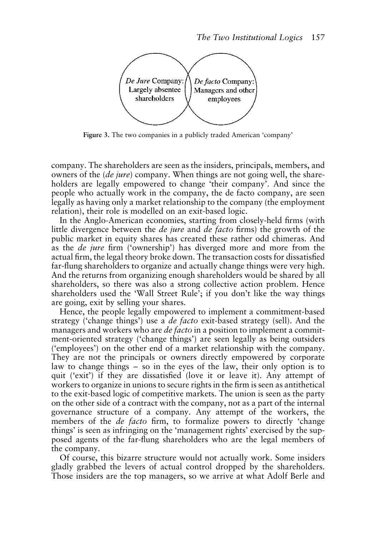

Figure 3. The two companies in a publicly traded American 'company'

company. The shareholders are seen as the insiders, principals, members, and owners of the *(de jure)* company. When things are not going well, the shareholders are legally empowered to change 'their company'. And since the people who actually work in the company, the de facto company, are seen legally as having only a market relationship to the company (the employment relation), their role is modelled on an exit-based logic.

In the Anglo-American economies, starting from closely-held firms (with little divergence between the *de jure* and *de facto* firms) the growth of the public market in equity shares has created these rather odd chimeras. And as the de jure firm ('ownership') has diverged more and more from the actual firm, the legal theory broke down. The transaction costs for dissatisfied far-flung shareholders to organize and actually change things were very high. And the returns from organizing enough shareholders would be shared by all shareholders, so there was also a strong collective action problem. Hence shareholders used the 'Wall Street Rule'; if you don't like the way things are going, exit by selling your shares.

Hence, the people legally empowered to implement a commitment-based strategy ('change things') use a de facto exit-based strategy (sell). And the managers and workers who are *de facto* in a position to implement a commitment-oriented strategy ('change things') are seen legally as being outsiders ('employees') on the other end of a market relationship with the company. They are not the principals or owners directly empowered by corporate law to change things – so in the eyes of the law, their only option is to quit ('exit') if they are dissatisfied (love it or leave it). Any attempt of workers to organize in unions to secure rights in the firm is seen as antithetical to the exit-based logic of competitive markets. The union is seen as the party on the other side of a contract with the company, not as a part of the internal governance structure of a company. Any attempt of the workers, the members of the *de facto* firm, to formalize powers to directly 'change things' is seen as infringing on the 'management rights' exercised by the supposed agents of the far-flung shareholders who are the legal members of the company.

Of course, this bizarre structure would not actually work. Some insiders gladly grabbed the levers of actual control dropped by the shareholders. Those insiders are the top managers, so we arrive at what Adolf Berle and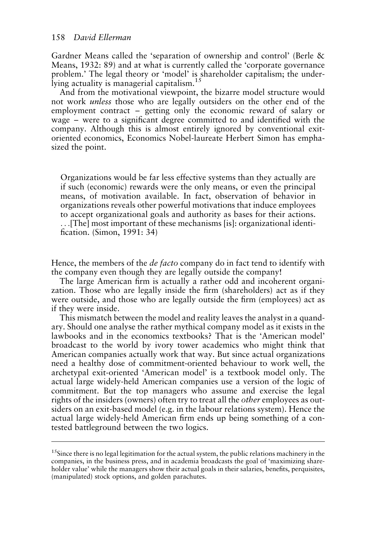Gardner Means called the 'separation of ownership and control' (Berle & Means, 1932: 89) and at what is currently called the 'corporate governance problem.' The legal theory or 'model' is shareholder capitalism; the underlying actuality is managerial capitalism.<sup>15</sup>

And from the motivational viewpoint, the bizarre model structure would not work unless those who are legally outsiders on the other end of the employment contract – getting only the economic reward of salary or wage – were to a significant degree committed to and identified with the company. Although this is almost entirely ignored by conventional exitoriented economics, Economics Nobel-laureate Herbert Simon has emphasized the point.

Organizations would be far less effective systems than they actually are if such (economic) rewards were the only means, or even the principal means, of motivation available. In fact, observation of behavior in organizations reveals other powerful motivations that induce employees to accept organizational goals and authority as bases for their actions. ...[The] most important of these mechanisms [is]: organizational identification. (Simon, 1991: 34)

Hence, the members of the *de facto* company do in fact tend to identify with the company even though they are legally outside the company!

The large American firm is actually a rather odd and incoherent organization. Those who are legally inside the firm (shareholders) act as if they were outside, and those who are legally outside the firm (employees) act as if they were inside.

This mismatch between the model and reality leaves the analyst in a quandary. Should one analyse the rather mythical company model as it exists in the lawbooks and in the economics textbooks? That is the 'American model' broadcast to the world by ivory tower academics who might think that American companies actually work that way. But since actual organizations need a healthy dose of commitment-oriented behaviour to work well, the archetypal exit-oriented 'American model' is a textbook model only. The actual large widely-held American companies use a version of the logic of commitment. But the top managers who assume and exercise the legal rights of the insiders (owners) often try to treat all the *other* employees as outsiders on an exit-based model (e.g. in the labour relations system). Hence the actual large widely-held American firm ends up being something of a contested battleground between the two logics.

<sup>&</sup>lt;sup>15</sup>Since there is no legal legitimation for the actual system, the public relations machinery in the companies, in the business press, and in academia broadcasts the goal of 'maximizing shareholder value' while the managers show their actual goals in their salaries, benefits, perquisites, (manipulated) stock options, and golden parachutes.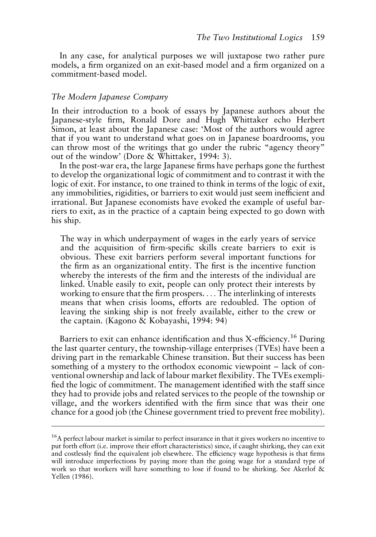In any case, for analytical purposes we will juxtapose two rather pure models, a firm organized on an exit-based model and a firm organized on a commitment-based model.

#### The Modern Japanese Company

In their introduction to a book of essays by Japanese authors about the Japanese-style firm, Ronald Dore and Hugh Whittaker echo Herbert Simon, at least about the Japanese case: 'Most of the authors would agree that if you want to understand what goes on in Japanese boardrooms, you can throw most of the writings that go under the rubric "agency theory" out of the window' (Dore & Whittaker, 1994: 3).

In the post-war era, the large Japanese firms have perhaps gone the furthest to develop the organizational logic of commitment and to contrast it with the logic of exit. For instance, to one trained to think in terms of the logic of exit, any immobilities, rigidities, or barriers to exit would just seem inefficient and irrational. But Japanese economists have evoked the example of useful barriers to exit, as in the practice of a captain being expected to go down with his ship.

The way in which underpayment of wages in the early years of service and the acquisition of firm-specific skills create barriers to exit is obvious. These exit barriers perform several important functions for the firm as an organizational entity. The first is the incentive function whereby the interests of the firm and the interests of the individual are linked. Unable easily to exit, people can only protect their interests by working to ensure that the firm prospers. ... The interlinking of interests means that when crisis looms, efforts are redoubled. The option of leaving the sinking ship is not freely available, either to the crew or the captain. (Kagono & Kobayashi, 1994: 94)

Barriers to exit can enhance identification and thus  $X$ -efficiency.<sup>16</sup> During the last quarter century, the township-village enterprises (TVEs) have been a driving part in the remarkable Chinese transition. But their success has been something of a mystery to the orthodox economic viewpoint – lack of conventional ownership and lack of labour market flexibility. The TVEs exemplified the logic of commitment. The management identified with the staff since they had to provide jobs and related services to the people of the township or village, and the workers identified with the firm since that was their one chance for a good job (the Chinese government tried to prevent free mobility).

 $16A$  perfect labour market is similar to perfect insurance in that it gives workers no incentive to put forth effort (i.e. improve their effort characteristics) since, if caught shirking, they can exit and costlessly find the equivalent job elsewhere. The efficiency wage hypothesis is that firms will introduce imperfections by paying more than the going wage for a standard type of work so that workers will have something to lose if found to be shirking. See Akerlof & Yellen (1986).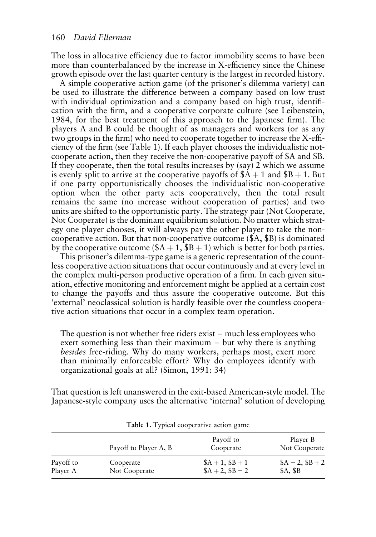The loss in allocative efficiency due to factor immobility seems to have been more than counterbalanced by the increase in X-efficiency since the Chinese growth episode over the last quarter century is the largest in recorded history.

A simple cooperative action game (of the prisoner's dilemma variety) can be used to illustrate the difference between a company based on low trust with individual optimization and a company based on high trust, identification with the firm, and a cooperative corporate culture (see Leibenstein, 1984, for the best treatment of this approach to the Japanese firm). The players A and B could be thought of as managers and workers (or as any two groups in the firm) who need to cooperate together to increase the X-efficiency of the firm (see Table 1). If each player chooses the individualistic notcooperate action, then they receive the non-cooperative payoff of \$A and \$B. If they cooperate, then the total results increases by (say) 2 which we assume is evenly split to arrive at the cooperative payoffs of  $A + 1$  and  $B + 1$ . But if one party opportunistically chooses the individualistic non-cooperative option when the other party acts cooperatively, then the total result remains the same (no increase without cooperation of parties) and two units are shifted to the opportunistic party. The strategy pair (Not Cooperate, Not Cooperate) is the dominant equilibrium solution. No matter which strategy one player chooses, it will always pay the other player to take the noncooperative action. But that non-cooperative outcome (\$A, \$B) is dominated by the cooperative outcome ( $(A + 1, B + 1)$  which is better for both parties.

This prisoner's dilemma-type game is a generic representation of the countless cooperative action situations that occur continuously and at every level in the complex multi-person productive operation of a firm. In each given situation, effective monitoring and enforcement might be applied at a certain cost to change the payoffs and thus assure the cooperative outcome. But this 'external' neoclassical solution is hardly feasible over the countless cooperative action situations that occur in a complex team operation.

The question is not whether free riders exist – much less employees who exert something less than their maximum – but why there is anything besides free-riding. Why do many workers, perhaps most, exert more than minimally enforceable effort? Why do employees identify with organizational goals at all? (Simon, 1991: 34)

That question is left unanswered in the exit-based American-style model. The Japanese-style company uses the alternative 'internal' solution of developing

|           | Payoff to Player A, B | Payoff to<br>Cooperate | Player B<br>Not Cooperate |
|-----------|-----------------------|------------------------|---------------------------|
| Payoff to | Cooperate             | $$A + 1, $B + 1$       | $$A - 2, $B + 2$$         |
| Player A  | Not Cooperate         | $$A + 2, $B - 2$$      | \$A, \$B                  |

Table 1. Typical cooperative action game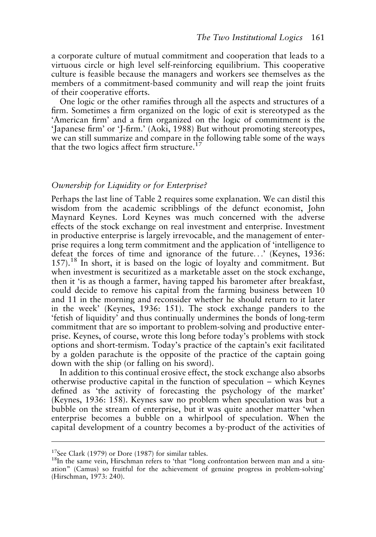a corporate culture of mutual commitment and cooperation that leads to a virtuous circle or high level self-reinforcing equilibrium. This cooperative culture is feasible because the managers and workers see themselves as the members of a commitment-based community and will reap the joint fruits of their cooperative efforts.

One logic or the other ramifies through all the aspects and structures of a firm. Sometimes a firm organized on the logic of exit is stereotyped as the 'American firm' and a firm organized on the logic of commitment is the 'Japanese firm' or 'J-firm.' (Aoki, 1988) But without promoting stereotypes, we can still summarize and compare in the following table some of the ways that the two logics affect firm structure.<sup>17</sup>

#### Ownership for Liquidity or for Enterprise?

Perhaps the last line of Table 2 requires some explanation. We can distil this wisdom from the academic scribblings of the defunct economist, John Maynard Keynes. Lord Keynes was much concerned with the adverse effects of the stock exchange on real investment and enterprise. Investment in productive enterprise is largely irrevocable, and the management of enterprise requires a long term commitment and the application of 'intelligence to defeat the forces of time and ignorance of the future...' (Keynes, 1936: 157).18 In short, it is based on the logic of loyalty and commitment. But when investment is securitized as a marketable asset on the stock exchange, then it 'is as though a farmer, having tapped his barometer after breakfast, could decide to remove his capital from the farming business between 10 and 11 in the morning and reconsider whether he should return to it later in the week' (Keynes, 1936: 151). The stock exchange panders to the 'fetish of liquidity' and thus continually undermines the bonds of long-term commitment that are so important to problem-solving and productive enterprise. Keynes, of course, wrote this long before today's problems with stock options and short-termism. Today's practice of the captain's exit facilitated by a golden parachute is the opposite of the practice of the captain going down with the ship (or falling on his sword).

In addition to this continual erosive effect, the stock exchange also absorbs otherwise productive capital in the function of speculation – which Keynes defined as 'the activity of forecasting the psychology of the market' (Keynes, 1936: 158). Keynes saw no problem when speculation was but a bubble on the stream of enterprise, but it was quite another matter 'when enterprise becomes a bubble on a whirlpool of speculation. When the capital development of a country becomes a by-product of the activities of

<sup>&</sup>lt;sup>17</sup>See Clark (1979) or Dore (1987) for similar tables.<br><sup>18</sup>In the same vein, Hirschman refers to 'that "long confrontation between man and a situation" (Camus) so fruitful for the achievement of genuine progress in problem-solving' (Hirschman, 1973: 240).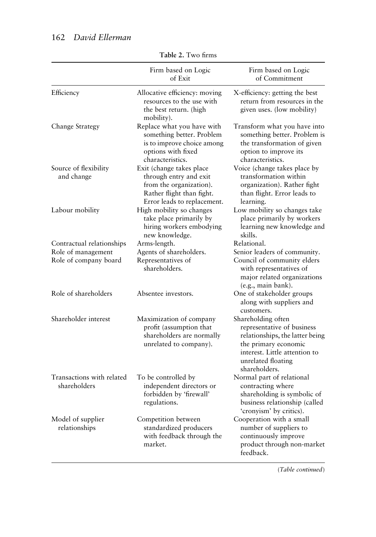|                                             | Firm based on Logic<br>of Exit                                                                                                            | Firm based on Logic<br>of Commitment                                                                                                                                                |
|---------------------------------------------|-------------------------------------------------------------------------------------------------------------------------------------------|-------------------------------------------------------------------------------------------------------------------------------------------------------------------------------------|
| Efficiency                                  | Allocative efficiency: moving<br>resources to the use with<br>the best return. (high<br>mobility).                                        | X-efficiency: getting the best<br>return from resources in the<br>given uses. (low mobility)                                                                                        |
| Change Strategy                             | Replace what you have with<br>something better. Problem<br>is to improve choice among<br>options with fixed<br>characteristics.           | Transform what you have into<br>something better. Problem is<br>the transformation of given<br>option to improve its<br>characteristics.                                            |
| Source of flexibility<br>and change         | Exit (change takes place<br>through entry and exit<br>from the organization).<br>Rather flight than fight.<br>Error leads to replacement. | Voice (change takes place by<br>transformation within<br>organization). Rather fight<br>than flight. Error leads to<br>learning.                                                    |
| Labour mobility                             | High mobility so changes<br>take place primarily by<br>hiring workers embodying<br>new knowledge.                                         | Low mobility so changes take<br>place primarily by workers<br>learning new knowledge and<br>skills.                                                                                 |
| Contractual relationships                   | Arms-length.                                                                                                                              | Relational.                                                                                                                                                                         |
| Role of management<br>Role of company board | Agents of shareholders.<br>Representatives of<br>shareholders.                                                                            | Senior leaders of community.<br>Council of community elders<br>with representatives of<br>major related organizations<br>(e.g., main bank).                                         |
| Role of shareholders                        | Absentee investors.                                                                                                                       | One of stakeholder groups<br>along with suppliers and<br>customers.                                                                                                                 |
| Shareholder interest                        | Maximization of company<br>profit (assumption that<br>shareholders are normally<br>unrelated to company).                                 | Shareholding often<br>representative of business<br>relationships, the latter being<br>the primary economic<br>interest. Little attention to<br>unrelated floating<br>shareholders. |
| Transactions with related<br>shareholders   | To be controlled by<br>independent directors or<br>forbidden by 'firewall'<br>regulations.                                                | Normal part of relational<br>contracting where<br>shareholding is symbolic of<br>business relationship (called<br>'cronyism' by critics).                                           |
| Model of supplier<br>relationships          | Competition between<br>standardized producers<br>with feedback through the<br>market.                                                     | Cooperation with a small<br>number of suppliers to<br>continuously improve<br>product through non-market<br>feedback.                                                               |

Table 2. Two firms

(Table continued)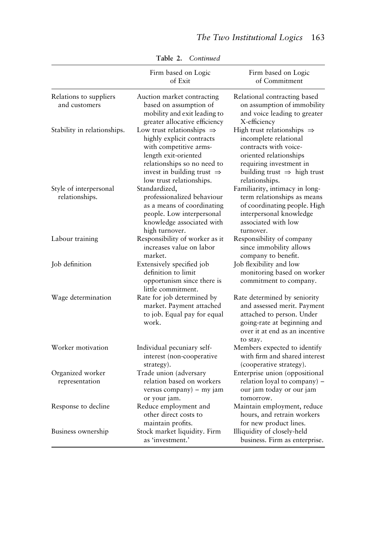|                                          | Firm based on Logic<br>of Exit                                                                                                                                                                                            | Firm based on Logic<br>of Commitment                                                                                                                                                                       |
|------------------------------------------|---------------------------------------------------------------------------------------------------------------------------------------------------------------------------------------------------------------------------|------------------------------------------------------------------------------------------------------------------------------------------------------------------------------------------------------------|
| Relations to suppliers<br>and customers  | Auction market contracting<br>based on assumption of<br>mobility and exit leading to<br>greater allocative efficiency                                                                                                     | Relational contracting based<br>on assumption of immobility<br>and voice leading to greater<br>X-efficiency                                                                                                |
| Stability in relationships.              | Low trust relationships $\Rightarrow$<br>highly explicit contracts<br>with competitive arms-<br>length exit-oriented<br>relationships so no need to<br>invest in building trust $\Rightarrow$<br>low trust relationships. | High trust relationships $\Rightarrow$<br>incomplete relational<br>contracts with voice-<br>oriented relationships<br>requiring investment in<br>building trust $\Rightarrow$ high trust<br>relationships. |
| Style of interpersonal<br>relationships. | Standardized,<br>professionalized behaviour<br>as a means of coordinating<br>people. Low interpersonal<br>knowledge associated with<br>high turnover.                                                                     | Familiarity, intimacy in long-<br>term relationships as means<br>of coordinating people. High<br>interpersonal knowledge<br>associated with low<br>turnover.                                               |
| Labour training                          | Responsibility of worker as it<br>increases value on labor<br>market.                                                                                                                                                     | Responsibility of company<br>since immobility allows<br>company to benefit.                                                                                                                                |
| Job definition                           | Extensively specified job<br>definition to limit<br>opportunism since there is<br>little commitment.                                                                                                                      | Job flexibility and low<br>monitoring based on worker<br>commitment to company.                                                                                                                            |
| Wage determination                       | Rate for job determined by<br>market. Payment attached<br>to job. Equal pay for equal<br>work.                                                                                                                            | Rate determined by seniority<br>and assessed merit. Payment<br>attached to person. Under<br>going-rate at beginning and<br>over it at end as an incentive<br>to stay.                                      |
| Worker motivation                        | Individual pecuniary self-<br>interest (non-cooperative<br>strategy).                                                                                                                                                     | Members expected to identify<br>with firm and shared interest<br>(cooperative strategy).                                                                                                                   |
| Organized worker<br>representation       | Trade union (adversary<br>relation based on workers<br>versus company) - my jam<br>or your jam.                                                                                                                           | Enterprise union (oppositional<br>relation loyal to company) -<br>our jam today or our jam<br>tomorrow.                                                                                                    |
| Response to decline                      | Reduce employment and<br>other direct costs to<br>maintain profits.                                                                                                                                                       | Maintain employment, reduce<br>hours, and retrain workers<br>for new product lines.                                                                                                                        |
| Business ownership                       | Stock market liquidity. Firm<br>as 'investment.'                                                                                                                                                                          | Illiquidity of closely-held<br>business. Firm as enterprise.                                                                                                                                               |

Table 2. Continued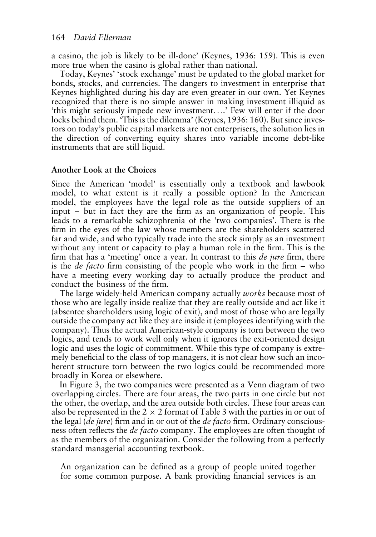a casino, the job is likely to be ill-done' (Keynes, 1936: 159). This is even more true when the casino is global rather than national.

Today, Keynes' 'stock exchange' must be updated to the global market for bonds, stocks, and currencies. The dangers to investment in enterprise that Keynes highlighted during his day are even greater in our own. Yet Keynes recognized that there is no simple answer in making investment illiquid as 'this might seriously impede new investment....' Few will enter if the door locks behind them. 'This is the dilemma' (Keynes, 1936: 160). But since investors on today's public capital markets are not enterprisers, the solution lies in the direction of converting equity shares into variable income debt-like instruments that are still liquid.

#### Another Look at the Choices

Since the American 'model' is essentially only a textbook and lawbook model, to what extent is it really a possible option? In the American model, the employees have the legal role as the outside suppliers of an input – but in fact they are the firm as an organization of people. This leads to a remarkable schizophrenia of the 'two companies'. There is the firm in the eyes of the law whose members are the shareholders scattered far and wide, and who typically trade into the stock simply as an investment without any intent or capacity to play a human role in the firm. This is the firm that has a 'meeting' once a year. In contrast to this *de jure* firm, there is the de facto firm consisting of the people who work in the firm – who have a meeting every working day to actually produce the product and conduct the business of the firm.

The large widely-held American company actually  $works$  because most of those who are legally inside realize that they are really outside and act like it (absentee shareholders using logic of exit), and most of those who are legally outside the company act like they are inside it (employees identifying with the company). Thus the actual American-style company is torn between the two logics, and tends to work well only when it ignores the exit-oriented design logic and uses the logic of commitment. While this type of company is extremely beneficial to the class of top managers, it is not clear how such an incoherent structure torn between the two logics could be recommended more broadly in Korea or elsewhere.

In Figure 3, the two companies were presented as a Venn diagram of two overlapping circles. There are four areas, the two parts in one circle but not the other, the overlap, and the area outside both circles. These four areas can also be represented in the  $2 \times 2$  format of Table 3 with the parties in or out of the legal (*de jure*) firm and in or out of the *de facto* firm. Ordinary consciousness often reflects the *de facto* company. The employees are often thought of as the members of the organization. Consider the following from a perfectly standard managerial accounting textbook.

An organization can be defined as a group of people united together for some common purpose. A bank providing financial services is an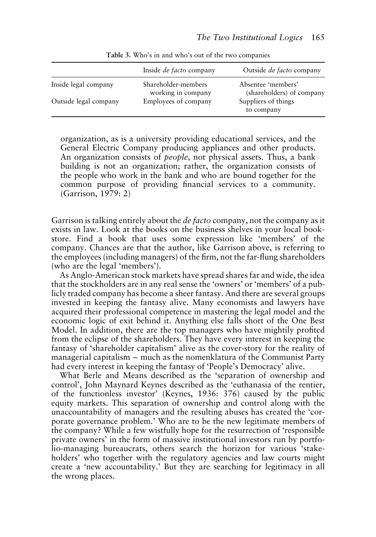|                       | Inside <i>de facto</i> company            | Outside <i>de facto</i> company                 |
|-----------------------|-------------------------------------------|-------------------------------------------------|
| Inside legal company  | Shareholder-members<br>working in company | Absentee 'members'<br>(shareholders) of company |
| Outside legal company | Employees of company                      | Suppliers of things<br>to company               |

Table 3. Who's in and who's out of the two companies

organization, as is a university providing educational services, and the General Electric Company producing appliances and other products. An organization consists of people, not physical assets. Thus, a bank building is not an organization; rather, the organization consists of the people who work in the bank and who are bound together for the common purpose of providing financial services to a community. (Garrison, 1979: 2)

Garrison is talking entirely about the *de facto* company, not the company as it exists in law. Look at the books on the business shelves in your local bookstore. Find a book that uses some expression like 'members' of the company. Chances are that the author, like Garrison above, is referring to the employees (including managers) of the firm, not the far-flung shareholders (who are the legal 'members').

As Anglo-American stock markets have spread shares far and wide, the idea that the stockholders are in any real sense the 'owners' or 'members' of a publicly traded company has become a sheer fantasy. And there are several groups invested in keeping the fantasy alive. Many economists and lawyers have acquired their professional competence in mastering the legal model and the economic logic of exit behind it. Anything else falls short of the One Best Model. In addition, there are the top managers who have mightily profited from the eclipse of the shareholders. They have every interest in keeping the fantasy of 'shareholder capitalism' alive as the cover-story for the reality of managerial capitalism – much as the nomenklatura of the Communist Party had every interest in keeping the fantasy of 'People's Democracy' alive.

What Berle and Means described as the 'separation of ownership and control', John Maynard Keynes described as the 'euthanasia of the rentier, of the functionless investor' (Keynes, 1936: 376) caused by the public equity markets. This separation of ownership and control along with the unaccountability of managers and the resulting abuses has created the 'corporate governance problem.' Who are to be the new legitimate members of the company? While a few wistfully hope for the resurrection of 'responsible private owners' in the form of massive institutional investors run by portfolio-managing bureaucrats, others search the horizon for various 'stakeholders' who together with the regulatory agencies and law courts might create a 'new accountability.' But they are searching for legitimacy in all the wrong places.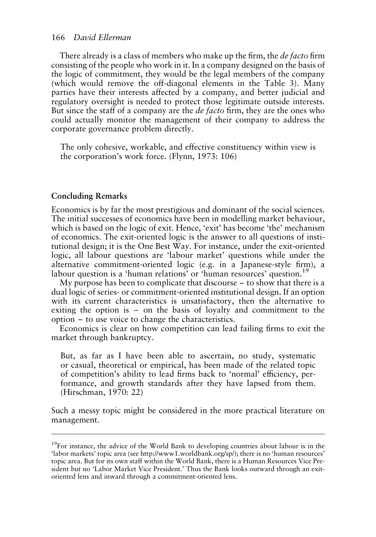There already is a class of members who make up the firm, the *de facto* firm consisting of the people who work in it. In a company designed on the basis of the logic of commitment, they would be the legal members of the company (which would remove the off-diagonal elements in the Table 3). Many parties have their interests affected by a company, and better judicial and regulatory oversight is needed to protect those legitimate outside interests. But since the staff of a company are the *de facto* firm, they are the ones who could actually monitor the management of their company to address the corporate governance problem directly.

The only cohesive, workable, and effective constituency within view is the corporation's work force. (Flynn, 1973: 106)

#### Concluding Remarks

Economics is by far the most prestigious and dominant of the social sciences. The initial successes of economics have been in modelling market behaviour, which is based on the logic of exit. Hence, 'exit' has become 'the' mechanism of economics. The exit-oriented logic is the answer to all questions of institutional design; it is the One Best Way. For instance, under the exit-oriented logic, all labour questions are 'labour market' questions while under the alternative commitment-oriented logic (e.g. in a Japanese-style firm), a labour question is a 'human relations' or 'human resources' question.<sup>19</sup>

My purpose has been to complicate that discourse – to show that there is a dual logic of series- or commitment-oriented institutional design. If an option with its current characteristics is unsatisfactory, then the alternative to exiting the option is – on the basis of loyalty and commitment to the option – to use voice to change the characteristics.

Economics is clear on how competition can lead failing firms to exit the market through bankruptcy.

But, as far as I have been able to ascertain, no study, systematic or casual, theoretical or empirical, has been made of the related topic of competition's ability to lead firms back to 'normal' efficiency, performance, and growth standards after they have lapsed from them. (Hirschman, 1970: 22)

Such a messy topic might be considered in the more practical literature on management.

 $19$ For instance, the advice of the World Bank to developing countries about labour is in the 'labor markets' topic area (see http://www1.worldbank.org/sp/); there is no 'human resources' topic area. But for its own staff within the World Bank, there is a Human Resources Vice President but no 'Labor Market Vice President.' Thus the Bank looks outward through an exitoriented lens and inward through a commitment-oriented lens.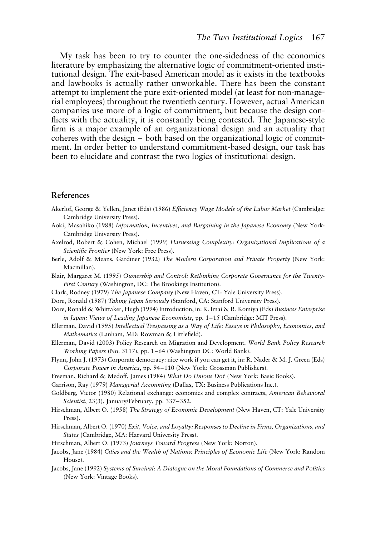My task has been to try to counter the one-sidedness of the economics literature by emphasizing the alternative logic of commitment-oriented institutional design. The exit-based American model as it exists in the textbooks and lawbooks is actually rather unworkable. There has been the constant attempt to implement the pure exit-oriented model (at least for non-managerial employees) throughout the twentieth century. However, actual American companies use more of a logic of commitment, but because the design conflicts with the actuality, it is constantly being contested. The Japanese-style firm is a major example of an organizational design and an actuality that coheres with the design – both based on the organizational logic of commitment. In order better to understand commitment-based design, our task has been to elucidate and contrast the two logics of institutional design.

#### References

- Akerlof, George & Yellen, Janet (Eds) (1986) Efficiency Wage Models of the Labor Market (Cambridge: Cambridge University Press).
- Aoki, Masahiko (1988) Information, Incentives, and Bargaining in the Japanese Economy (New York: Cambridge University Press).
- Axelrod, Robert & Cohen, Michael (1999) Harnessing Complexity: Organizational Implications of a Scientific Frontier (New York: Free Press).
- Berle, Adolf & Means, Gardiner (1932) The Modern Corporation and Private Property (New York: Macmillan).
- Blair, Margaret M. (1995) Ownership and Control: Rethinking Corporate Governance for the Twenty-First Century (Washington, DC: The Brookings Institution).
- Clark, Rodney (1979) The Japanese Company (New Haven, CT: Yale University Press).
- Dore, Ronald (1987) Taking Japan Seriously (Stanford, CA: Stanford University Press).
- Dore, Ronald & Whittaker, Hugh (1994) Introduction, in: K. Imai & R. Komiya (Eds) Business Enterprise in Japan: Views of Leading Japanese Economists, pp. 1–15 (Cambridge: MIT Press).
- Ellerman, David (1995) Intellectual Trespassing as a Way of Life: Essays in Philosophy, Economics, and Mathematics (Lanham, MD: Rowman & Littlefield).
- Ellerman, David (2003) Policy Research on Migration and Development. World Bank Policy Research Working Papers (No. 3117), pp. 1–64 (Washington DC: World Bank).
- Flynn, John J. (1973) Corporate democracy: nice work if you can get it, in: R. Nader & M. J. Green (Eds) Corporate Power in America, pp. 94–110 (New York: Grossman Publishers).
- Freeman, Richard & Medoff, James (1984) What Do Unions Do? (New York: Basic Books).
- Garrison, Ray (1979) Managerial Accounting (Dallas, TX: Business Publications Inc.).
- Goldberg, Victor (1980) Relational exchange: economics and complex contracts, American Behavioral Scientist, 23(3), January/February, pp. 337–352.
- Hirschman, Albert O. (1958) The Strategy of Economic Development (New Haven, CT: Yale University Press).
- Hirschman, Albert O. (1970) Exit, Voice, and Loyalty: Responses to Decline in Firms, Organizations, and States (Cambridge, MA: Harvard University Press).
- Hirschman, Albert O. (1973) Journeys Toward Progress (New York: Norton).
- Jacobs, Jane (1984) Cities and the Wealth of Nations: Principles of Economic Life (New York: Random House).
- Jacobs, Jane (1992) Systems of Survival: A Dialogue on the Moral Foundations of Commerce and Politics (New York: Vintage Books).